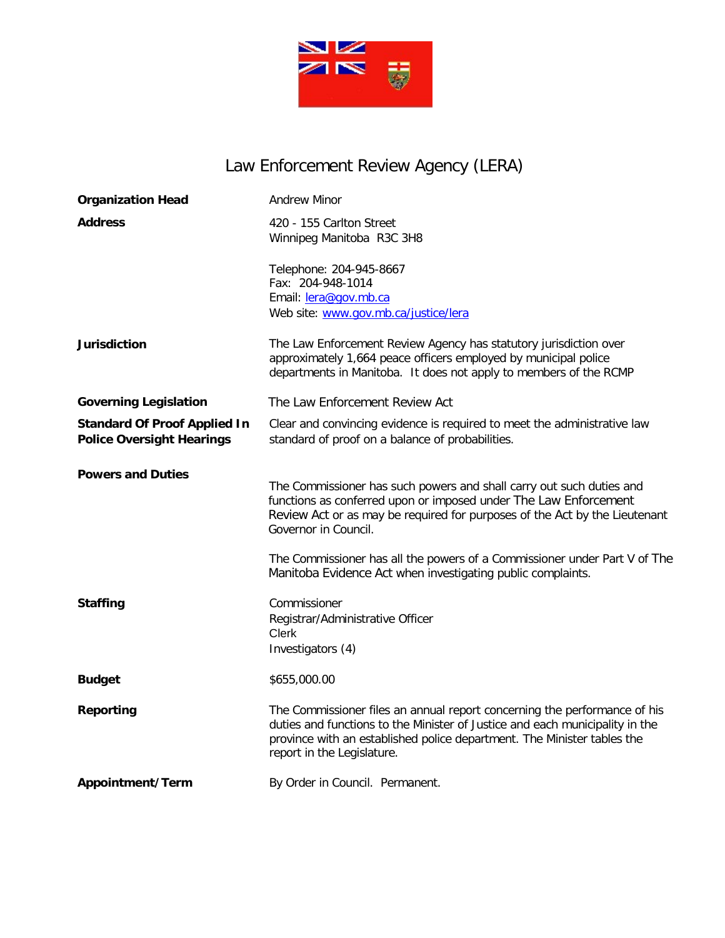

# Law Enforcement Review Agency (LERA)

| <b>Organization Head</b>                                                | <b>Andrew Minor</b>                                                                                                                                                                                                                                                |
|-------------------------------------------------------------------------|--------------------------------------------------------------------------------------------------------------------------------------------------------------------------------------------------------------------------------------------------------------------|
| <b>Address</b>                                                          | 420 - 155 Carlton Street<br>Winnipeg Manitoba R3C 3H8                                                                                                                                                                                                              |
|                                                                         | Telephone: 204-945-8667<br>Fax: 204-948-1014<br>Email: lera@gov.mb.ca<br>Web site: www.gov.mb.ca/justice/lera                                                                                                                                                      |
| <b>Jurisdiction</b>                                                     | The Law Enforcement Review Agency has statutory jurisdiction over<br>approximately 1,664 peace officers employed by municipal police<br>departments in Manitoba. It does not apply to members of the RCMP                                                          |
| <b>Governing Legislation</b>                                            | The Law Enforcement Review Act                                                                                                                                                                                                                                     |
| <b>Standard Of Proof Applied In</b><br><b>Police Oversight Hearings</b> | Clear and convincing evidence is required to meet the administrative law<br>standard of proof on a balance of probabilities.                                                                                                                                       |
| <b>Powers and Duties</b>                                                | The Commissioner has such powers and shall carry out such duties and<br>functions as conferred upon or imposed under The Law Enforcement<br>Review Act or as may be required for purposes of the Act by the Lieutenant<br>Governor in Council.                     |
|                                                                         | The Commissioner has all the powers of a Commissioner under Part V of The<br>Manitoba Evidence Act when investigating public complaints.                                                                                                                           |
| <b>Staffing</b>                                                         | Commissioner<br>Registrar/Administrative Officer<br><b>Clerk</b><br>Investigators (4)                                                                                                                                                                              |
| <b>Budget</b>                                                           | \$655,000.00                                                                                                                                                                                                                                                       |
| <b>Reporting</b>                                                        | The Commissioner files an annual report concerning the performance of his<br>duties and functions to the Minister of Justice and each municipality in the<br>province with an established police department. The Minister tables the<br>report in the Legislature. |
| Appointment/Term                                                        | By Order in Council. Permanent.                                                                                                                                                                                                                                    |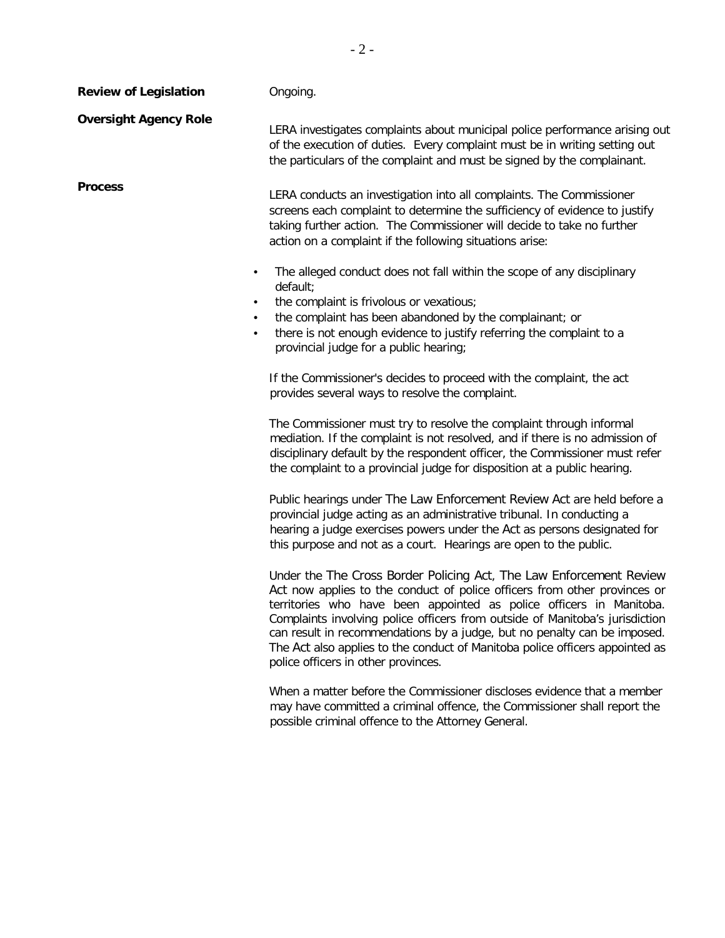| <b>Review of Legislation</b>                     | Ongoing.                                                                                                                                                                                                                                                                                                                                                                                                                                                                                                   |
|--------------------------------------------------|------------------------------------------------------------------------------------------------------------------------------------------------------------------------------------------------------------------------------------------------------------------------------------------------------------------------------------------------------------------------------------------------------------------------------------------------------------------------------------------------------------|
| <b>Oversight Agency Role</b>                     | LERA investigates complaints about municipal police performance arising out<br>of the execution of duties. Every complaint must be in writing setting out<br>the particulars of the complaint and must be signed by the complainant.                                                                                                                                                                                                                                                                       |
| <b>Process</b>                                   | LERA conducts an investigation into all complaints. The Commissioner<br>screens each complaint to determine the sufficiency of evidence to justify<br>taking further action. The Commissioner will decide to take no further<br>action on a complaint if the following situations arise:                                                                                                                                                                                                                   |
| $\bullet$<br>$\bullet$<br>$\bullet$<br>$\bullet$ | The alleged conduct does not fall within the scope of any disciplinary<br>default;<br>the complaint is frivolous or vexatious;<br>the complaint has been abandoned by the complainant; or<br>there is not enough evidence to justify referring the complaint to a<br>provincial judge for a public hearing;                                                                                                                                                                                                |
|                                                  | If the Commissioner's decides to proceed with the complaint, the act<br>provides several ways to resolve the complaint.                                                                                                                                                                                                                                                                                                                                                                                    |
|                                                  | The Commissioner must try to resolve the complaint through informal<br>mediation. If the complaint is not resolved, and if there is no admission of<br>disciplinary default by the respondent officer, the Commissioner must refer<br>the complaint to a provincial judge for disposition at a public hearing.                                                                                                                                                                                             |
|                                                  | Public hearings under The Law Enforcement Review Act are held before a<br>provincial judge acting as an administrative tribunal. In conducting a<br>hearing a judge exercises powers under the Act as persons designated for<br>this purpose and not as a court. Hearings are open to the public.                                                                                                                                                                                                          |
|                                                  | Under the The Cross Border Policing Act, The Law Enforcement Review<br>Act now applies to the conduct of police officers from other provinces or<br>territories who have been appointed as police officers in Manitoba.<br>Complaints involving police officers from outside of Manitoba's jurisdiction<br>can result in recommendations by a judge, but no penalty can be imposed.<br>The Act also applies to the conduct of Manitoba police officers appointed as<br>police officers in other provinces. |
|                                                  | When a matter before the Commissioner discloses evidence that a member<br>may have committed a criminal offence, the Commissioner shall report the<br>possible criminal offence to the Attorney General.                                                                                                                                                                                                                                                                                                   |